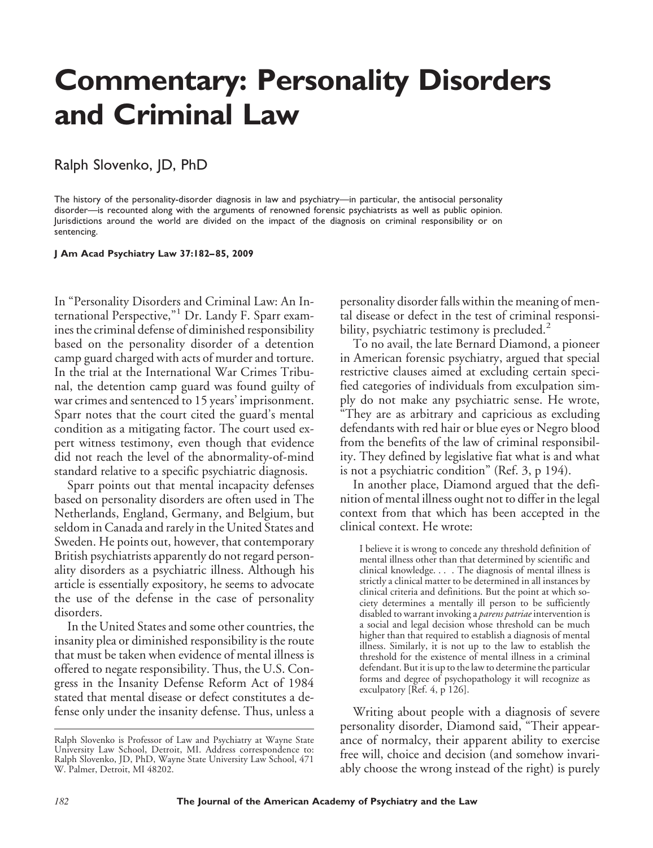# **Commentary: Personality Disorders and Criminal Law**

## Ralph Slovenko, JD, PhD

The history of the personality-disorder diagnosis in law and psychiatry—in particular, the antisocial personality disorder—is recounted along with the arguments of renowned forensic psychiatrists as well as public opinion. Jurisdictions around the world are divided on the impact of the diagnosis on criminal responsibility or on sentencing.

**J Am Acad Psychiatry Law 37:182– 85, 2009**

In "Personality Disorders and Criminal Law: An International Perspective,"<sup>1</sup> Dr. Landy F. Sparr examines the criminal defense of diminished responsibility based on the personality disorder of a detention camp guard charged with acts of murder and torture. In the trial at the International War Crimes Tribunal, the detention camp guard was found guilty of war crimes and sentenced to 15 years' imprisonment. Sparr notes that the court cited the guard's mental condition as a mitigating factor. The court used expert witness testimony, even though that evidence did not reach the level of the abnormality-of-mind standard relative to a specific psychiatric diagnosis.

Sparr points out that mental incapacity defenses based on personality disorders are often used in The Netherlands, England, Germany, and Belgium, but seldom in Canada and rarely in the United States and Sweden. He points out, however, that contemporary British psychiatrists apparently do not regard personality disorders as a psychiatric illness. Although his article is essentially expository, he seems to advocate the use of the defense in the case of personality disorders.

In the United States and some other countries, the insanity plea or diminished responsibility is the route that must be taken when evidence of mental illness is offered to negate responsibility. Thus, the U.S. Congress in the Insanity Defense Reform Act of 1984 stated that mental disease or defect constitutes a defense only under the insanity defense. Thus, unless a

personality disorder falls within the meaning of mental disease or defect in the test of criminal responsibility, psychiatric testimony is precluded. $<sup>2</sup>$ </sup>

To no avail, the late Bernard Diamond, a pioneer in American forensic psychiatry, argued that special restrictive clauses aimed at excluding certain specified categories of individuals from exculpation simply do not make any psychiatric sense. He wrote, "They are as arbitrary and capricious as excluding defendants with red hair or blue eyes or Negro blood from the benefits of the law of criminal responsibility. They defined by legislative fiat what is and what is not a psychiatric condition" (Ref. 3, p 194).

In another place, Diamond argued that the definition of mental illness ought not to differ in the legal context from that which has been accepted in the clinical context. He wrote:

I believe it is wrong to concede any threshold definition of mental illness other than that determined by scientific and clinical knowledge. . . . The diagnosis of mental illness is strictly a clinical matter to be determined in all instances by clinical criteria and definitions. But the point at which society determines a mentally ill person to be sufficiently disabled to warrant invoking a *parens patriae* intervention is a social and legal decision whose threshold can be much higher than that required to establish a diagnosis of mental illness. Similarly, it is not up to the law to establish the threshold for the existence of mental illness in a criminal defendant. But it is up to the law to determine the particular forms and degree of psychopathology it will recognize as exculpatory [Ref. 4, p 126].

Writing about people with a diagnosis of severe personality disorder, Diamond said, "Their appearance of normalcy, their apparent ability to exercise free will, choice and decision (and somehow invariably choose the wrong instead of the right) is purely

Ralph Slovenko is Professor of Law and Psychiatry at Wayne State University Law School, Detroit, MI. Address correspondence to: Ralph Slovenko, JD, PhD, Wayne State University Law School, 471 W. Palmer, Detroit, MI 48202.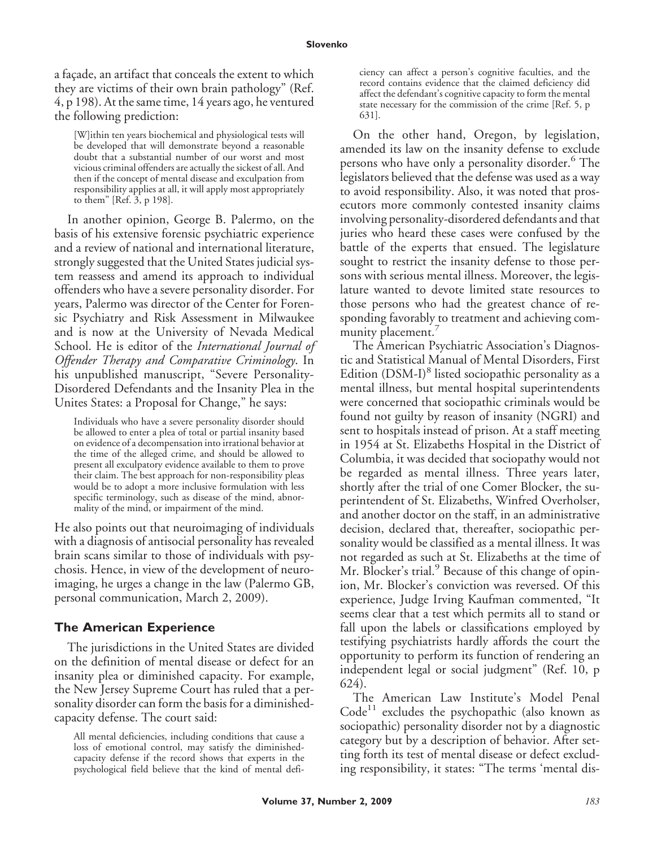a façade, an artifact that conceals the extent to which they are victims of their own brain pathology" (Ref. 4, p 198). At the same time, 14 years ago, he ventured the following prediction:

[W]ithin ten years biochemical and physiological tests will be developed that will demonstrate beyond a reasonable doubt that a substantial number of our worst and most vicious criminal offenders are actually the sickest of all. And then if the concept of mental disease and exculpation from responsibility applies at all, it will apply most appropriately to them" [Ref. 3, p 198].

In another opinion, George B. Palermo, on the basis of his extensive forensic psychiatric experience and a review of national and international literature, strongly suggested that the United States judicial system reassess and amend its approach to individual offenders who have a severe personality disorder. For years, Palermo was director of the Center for Forensic Psychiatry and Risk Assessment in Milwaukee and is now at the University of Nevada Medical School. He is editor of the *International Journal of Offender Therapy and Comparative Criminology*. In his unpublished manuscript, "Severe Personality-Disordered Defendants and the Insanity Plea in the Unites States: a Proposal for Change," he says:

Individuals who have a severe personality disorder should be allowed to enter a plea of total or partial insanity based on evidence of a decompensation into irrational behavior at the time of the alleged crime, and should be allowed to present all exculpatory evidence available to them to prove their claim. The best approach for non-responsibility pleas would be to adopt a more inclusive formulation with less specific terminology, such as disease of the mind, abnormality of the mind, or impairment of the mind.

He also points out that neuroimaging of individuals with a diagnosis of antisocial personality has revealed brain scans similar to those of individuals with psychosis. Hence, in view of the development of neuroimaging, he urges a change in the law (Palermo GB, personal communication, March 2, 2009).

#### **The American Experience**

The jurisdictions in the United States are divided on the definition of mental disease or defect for an insanity plea or diminished capacity. For example, the New Jersey Supreme Court has ruled that a personality disorder can form the basis for a diminishedcapacity defense. The court said:

ciency can affect a person's cognitive faculties, and the record contains evidence that the claimed deficiency did affect the defendant's cognitive capacity to form the mental state necessary for the commission of the crime [Ref. 5, p 631].

On the other hand, Oregon, by legislation, amended its law on the insanity defense to exclude persons who have only a personality disorder.<sup>6</sup> The legislators believed that the defense was used as a way to avoid responsibility. Also, it was noted that prosecutors more commonly contested insanity claims involving personality-disordered defendants and that juries who heard these cases were confused by the battle of the experts that ensued. The legislature sought to restrict the insanity defense to those persons with serious mental illness. Moreover, the legislature wanted to devote limited state resources to those persons who had the greatest chance of responding favorably to treatment and achieving community placement.<sup>7</sup>

The American Psychiatric Association's Diagnostic and Statistical Manual of Mental Disorders, First Edition  $(DSM-I)^8$  listed sociopathic personality as a mental illness, but mental hospital superintendents were concerned that sociopathic criminals would be found not guilty by reason of insanity (NGRI) and sent to hospitals instead of prison. At a staff meeting in 1954 at St. Elizabeths Hospital in the District of Columbia, it was decided that sociopathy would not be regarded as mental illness. Three years later, shortly after the trial of one Comer Blocker, the superintendent of St. Elizabeths, Winfred Overholser, and another doctor on the staff, in an administrative decision, declared that, thereafter, sociopathic personality would be classified as a mental illness. It was not regarded as such at St. Elizabeths at the time of Mr. Blocker's trial.<sup>9</sup> Because of this change of opinion, Mr. Blocker's conviction was reversed. Of this experience, Judge Irving Kaufman commented, "It seems clear that a test which permits all to stand or fall upon the labels or classifications employed by testifying psychiatrists hardly affords the court the opportunity to perform its function of rendering an independent legal or social judgment" (Ref. 10, p 624).

The American Law Institute's Model Penal  $Code<sup>11</sup>$  excludes the psychopathic (also known as sociopathic) personality disorder not by a diagnostic category but by a description of behavior. After setting forth its test of mental disease or defect excluding responsibility, it states: "The terms 'mental dis-

All mental deficiencies, including conditions that cause a loss of emotional control, may satisfy the diminishedcapacity defense if the record shows that experts in the psychological field believe that the kind of mental defi-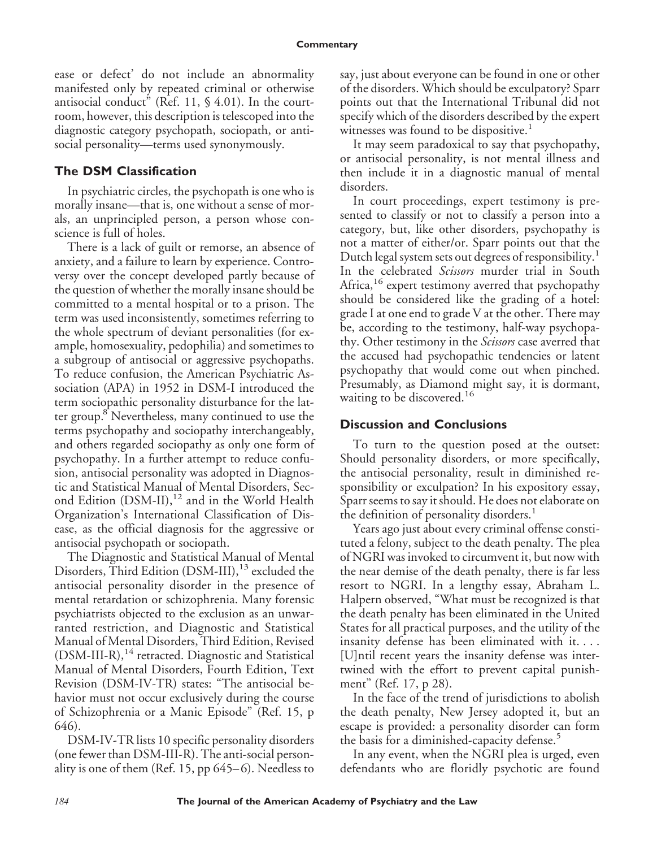ease or defect' do not include an abnormality manifested only by repeated criminal or otherwise antisocial conduct" (Ref. 11, § 4.01). In the courtroom, however, this description is telescoped into the diagnostic category psychopath, sociopath, or antisocial personality—terms used synonymously.

### **The DSM Classification**

In psychiatric circles, the psychopath is one who is morally insane—that is, one without a sense of morals, an unprincipled person, a person whose conscience is full of holes.

There is a lack of guilt or remorse, an absence of anxiety, and a failure to learn by experience. Controversy over the concept developed partly because of the question of whether the morally insane should be committed to a mental hospital or to a prison. The term was used inconsistently, sometimes referring to the whole spectrum of deviant personalities (for example, homosexuality, pedophilia) and sometimes to a subgroup of antisocial or aggressive psychopaths. To reduce confusion, the American Psychiatric Association (APA) in 1952 in DSM-I introduced the term sociopathic personality disturbance for the latter group.<sup>8</sup> Nevertheless, many continued to use the terms psychopathy and sociopathy interchangeably, and others regarded sociopathy as only one form of psychopathy. In a further attempt to reduce confusion, antisocial personality was adopted in Diagnostic and Statistical Manual of Mental Disorders, Second Edition (DSM-II),<sup>12</sup> and in the World Health Organization's International Classification of Disease, as the official diagnosis for the aggressive or antisocial psychopath or sociopath.

The Diagnostic and Statistical Manual of Mental Disorders, Third Edition (DSM-III),<sup>13</sup> excluded the antisocial personality disorder in the presence of mental retardation or schizophrenia. Many forensic psychiatrists objected to the exclusion as an unwarranted restriction, and Diagnostic and Statistical Manual of Mental Disorders, Third Edition, Revised (DSM-III-R),<sup>14</sup> retracted. Diagnostic and Statistical Manual of Mental Disorders, Fourth Edition, Text Revision (DSM-IV-TR) states: "The antisocial behavior must not occur exclusively during the course of Schizophrenia or a Manic Episode" (Ref. 15, p 646).

DSM-IV-TR lists 10 specific personality disorders (one fewer than DSM-III-R). The anti-social personality is one of them (Ref. 15, pp  $645-6$ ). Needless to say, just about everyone can be found in one or other of the disorders. Which should be exculpatory? Sparr points out that the International Tribunal did not specify which of the disorders described by the expert witnesses was found to be dispositive.<sup>1</sup>

It may seem paradoxical to say that psychopathy, or antisocial personality, is not mental illness and then include it in a diagnostic manual of mental disorders.

In court proceedings, expert testimony is presented to classify or not to classify a person into a category, but, like other disorders, psychopathy is not a matter of either/or. Sparr points out that the Dutch legal system sets out degrees of responsibility.<sup>1</sup> In the celebrated *Scissors* murder trial in South Africa,<sup>16</sup> expert testimony averred that psychopathy should be considered like the grading of a hotel: grade I at one end to grade V at the other. There may be, according to the testimony, half-way psychopathy. Other testimony in the *Scissors* case averred that the accused had psychopathic tendencies or latent psychopathy that would come out when pinched. Presumably, as Diamond might say, it is dormant, waiting to be discovered.<sup>16</sup>

#### **Discussion and Conclusions**

To turn to the question posed at the outset: Should personality disorders, or more specifically, the antisocial personality, result in diminished responsibility or exculpation? In his expository essay, Sparr seems to say it should. He does not elaborate on the definition of personality disorders.<sup>1</sup>

Years ago just about every criminal offense constituted a felony, subject to the death penalty. The plea of NGRI was invoked to circumvent it, but now with the near demise of the death penalty, there is far less resort to NGRI. In a lengthy essay, Abraham L. Halpern observed, "What must be recognized is that the death penalty has been eliminated in the United States for all practical purposes, and the utility of the insanity defense has been eliminated with it.... [U]ntil recent years the insanity defense was intertwined with the effort to prevent capital punishment" (Ref. 17, p 28).

In the face of the trend of jurisdictions to abolish the death penalty, New Jersey adopted it, but an escape is provided: a personality disorder can form the basis for a diminished-capacity defense.<sup>5</sup>

In any event, when the NGRI plea is urged, even defendants who are floridly psychotic are found